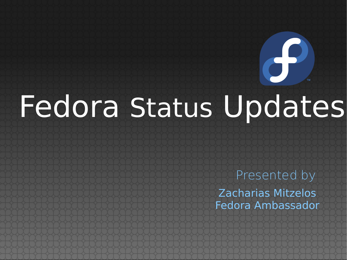# Fedora Status Updates

Zacharias Mitzelos Fedora Ambassador Presented by

 $\Theta$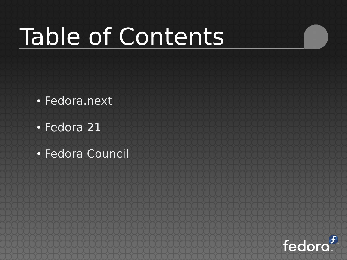## Table of Contents

- Fedora.next
- Fedora 21
- Fedora Council

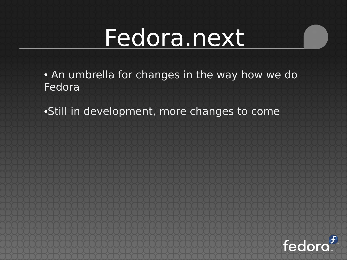• An umbrella for changes in the way how we do Fedora

•Still in development, more changes to come

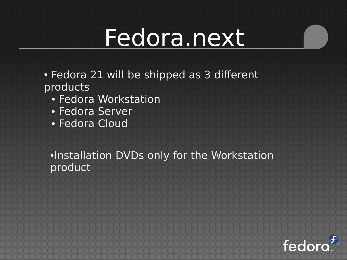- Fedora 21 will be shipped as 3 different products
	- Fedora Workstation
	- Fedora Server
	- Fedora Cloud

●Installation DVDs only for the Workstation product

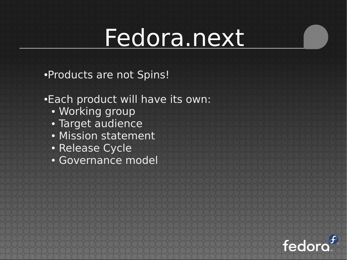●Products are not Spins!

#### •Each product will have its own:

- Working group
- Target audience
- Mission statement
- Release Cycle
- Governance model

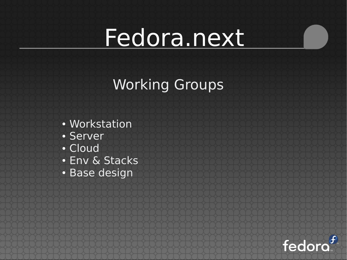#### Working Groups

- Workstation
- Server
- Cloud
- Env & Stacks
- Base design

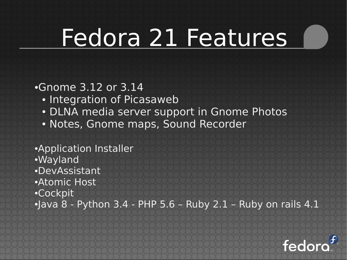## Fedora 21 Features

#### ●Gnome 3.12 or 3.14

- Integration of Picasaweb
- DLNA media server support in Gnome Photos
- Notes, Gnome maps, Sound Recorder
- ●Application Installer ●Wayland ●DevAssistant ●Atomic Host ●Cockpit  $\cdot$ Java 8 - Python 3.4 - PHP 5.6 - Ruby 2.1 - Ruby on rails 4.1

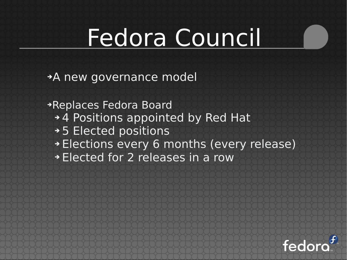➔A new governance model

➔Replaces Fedora Board ➔ 4 Positions appointed by Red Hat ➔ 5 Elected positions ➔ Elections every 6 months (every release) ➔ Elected for 2 releases in a row

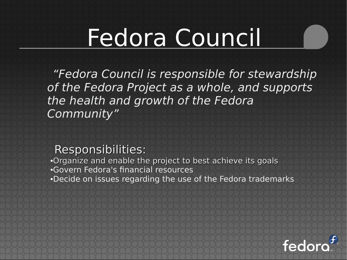"Fedora Council is responsible for stewardship of the Fedora Project as a whole, and supports the health and growth of the Fedora Community"

#### Responsibilities:

•Organize and enable the project to best achieve its goals ●Govern Fedora's financial resources •Decide on issues regarding the use of the Fedora trademarks

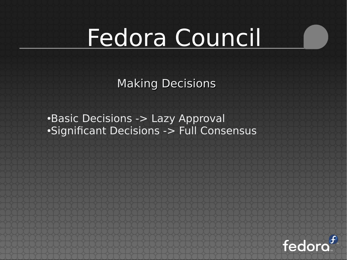Making Decisions

•Basic Decisions -> Lazy Approval •Significant Decisions -> Full Consensus

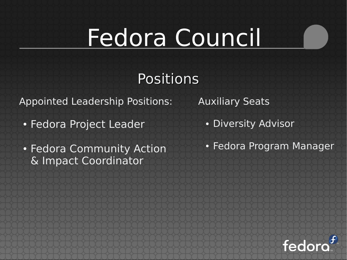#### Positions

Appointed Leadership Positions:

- Fedora Project Leader
- Fedora Community Action & Impact Coordinator

Auxiliary Seats

- Diversity Advisor
- Fedora Program Manager

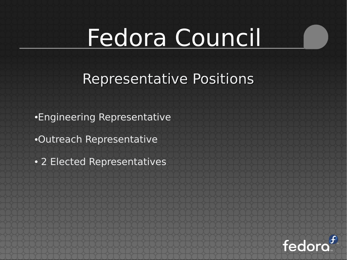#### Representative Positions

•Engineering Representative

●Outreach Representative

• 2 Elected Representatives

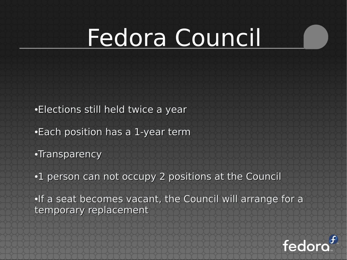- •Elections still held twice a year
- •Each position has a 1-year term
- •Transparency
- •1 person can not occupy 2 positions at the Council

•If a seat becomes vacant, the Council will arrange for a temporary replacement

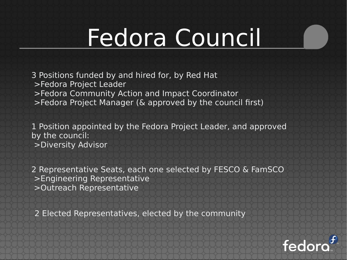3 Positions funded by and hired for, by Red Hat >Fedora Project Leader

- >Fedora Community Action and Impact Coordinator
- >Fedora Project Manager (& approved by the council first)

1 Position appointed by the Fedora Project Leader, and approved by the council: >Diversity Advisor

2 Representative Seats, each one selected by FESCO & FamSCO >Engineering Representative >Outreach Representative

2 Elected Representatives, elected by the community